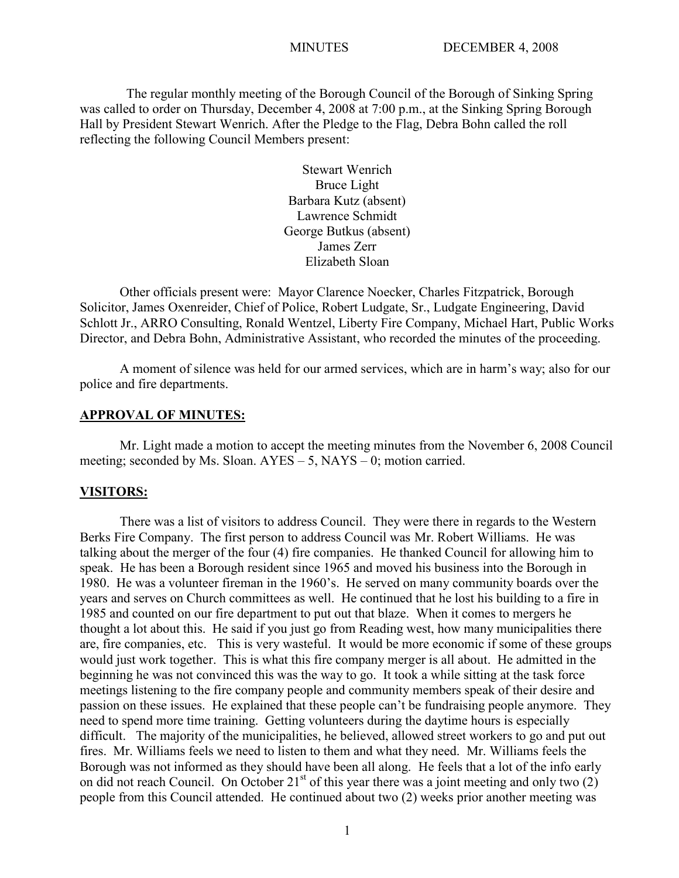The regular monthly meeting of the Borough Council of the Borough of Sinking Spring was called to order on Thursday, December 4, 2008 at 7:00 p.m., at the Sinking Spring Borough Hall by President Stewart Wenrich. After the Pledge to the Flag, Debra Bohn called the roll reflecting the following Council Members present:

> Stewart Wenrich Bruce Light Barbara Kutz (absent) Lawrence Schmidt George Butkus (absent) James Zerr Elizabeth Sloan

Other officials present were: Mayor Clarence Noecker, Charles Fitzpatrick, Borough Solicitor, James Oxenreider, Chief of Police, Robert Ludgate, Sr., Ludgate Engineering, David Schlott Jr., ARRO Consulting, Ronald Wentzel, Liberty Fire Company, Michael Hart, Public Works Director, and Debra Bohn, Administrative Assistant, who recorded the minutes of the proceeding.

A moment of silence was held for our armed services, which are in harm's way; also for our police and fire departments.

### **APPROVAL OF MINUTES:**

Mr. Light made a motion to accept the meeting minutes from the November 6, 2008 Council meeting; seconded by Ms. Sloan. AYES – 5, NAYS – 0; motion carried.

#### **VISITORS:**

There was a list of visitors to address Council. They were there in regards to the Western Berks Fire Company. The first person to address Council was Mr. Robert Williams. He was talking about the merger of the four (4) fire companies. He thanked Council for allowing him to speak. He has been a Borough resident since 1965 and moved his business into the Borough in 1980. He was a volunteer fireman in the 1960's. He served on many community boards over the years and serves on Church committees as well. He continued that he lost his building to a fire in 1985 and counted on our fire department to put out that blaze. When it comes to mergers he thought a lot about this. He said if you just go from Reading west, how many municipalities there are, fire companies, etc. This is very wasteful. It would be more economic if some of these groups would just work together. This is what this fire company merger is all about. He admitted in the beginning he was not convinced this was the way to go. It took a while sitting at the task force meetings listening to the fire company people and community members speak of their desire and passion on these issues. He explained that these people can't be fundraising people anymore. They need to spend more time training. Getting volunteers during the daytime hours is especially difficult. The majority of the municipalities, he believed, allowed street workers to go and put out fires. Mr. Williams feels we need to listen to them and what they need. Mr. Williams feels the Borough was not informed as they should have been all along. He feels that a lot of the info early on did not reach Council. On October  $21<sup>st</sup>$  of this year there was a joint meeting and only two  $(2)$ people from this Council attended. He continued about two (2) weeks prior another meeting was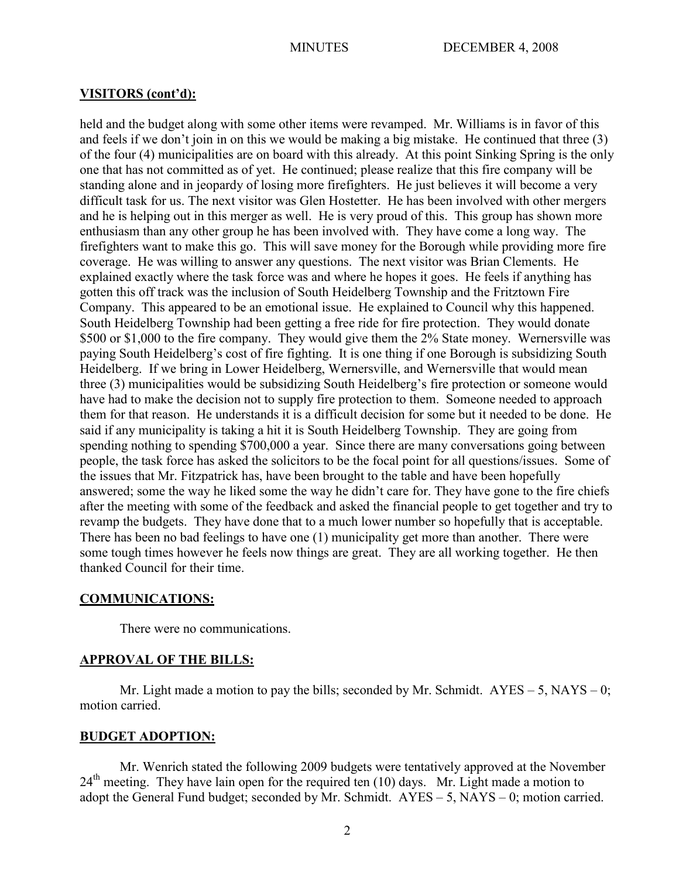### **VISITORS (cont'd):**

held and the budget along with some other items were revamped. Mr. Williams is in favor of this and feels if we don't join in on this we would be making a big mistake. He continued that three (3) of the four (4) municipalities are on board with this already. At this point Sinking Spring is the only one that has not committed as of yet. He continued; please realize that this fire company will be standing alone and in jeopardy of losing more firefighters. He just believes it will become a very difficult task for us. The next visitor was Glen Hostetter. He has been involved with other mergers and he is helping out in this merger as well. He is very proud of this. This group has shown more enthusiasm than any other group he has been involved with. They have come a long way. The firefighters want to make this go. This will save money for the Borough while providing more fire coverage. He was willing to answer any questions. The next visitor was Brian Clements. He explained exactly where the task force was and where he hopes it goes. He feels if anything has gotten this off track was the inclusion of South Heidelberg Township and the Fritztown Fire Company. This appeared to be an emotional issue. He explained to Council why this happened. South Heidelberg Township had been getting a free ride for fire protection. They would donate \$500 or \$1,000 to the fire company. They would give them the 2% State money. Wernersville was paying South Heidelberg's cost of fire fighting. It is one thing if one Borough is subsidizing South Heidelberg. If we bring in Lower Heidelberg, Wernersville, and Wernersville that would mean three (3) municipalities would be subsidizing South Heidelberg's fire protection or someone would have had to make the decision not to supply fire protection to them. Someone needed to approach them for that reason. He understands it is a difficult decision for some but it needed to be done. He said if any municipality is taking a hit it is South Heidelberg Township. They are going from spending nothing to spending \$700,000 a year. Since there are many conversations going between people, the task force has asked the solicitors to be the focal point for all questions/issues. Some of the issues that Mr. Fitzpatrick has, have been brought to the table and have been hopefully answered; some the way he liked some the way he didn't care for. They have gone to the fire chiefs after the meeting with some of the feedback and asked the financial people to get together and try to revamp the budgets. They have done that to a much lower number so hopefully that is acceptable. There has been no bad feelings to have one (1) municipality get more than another. There were some tough times however he feels now things are great. They are all working together. He then thanked Council for their time.

## **COMMUNICATIONS:**

There were no communications.

## **APPROVAL OF THE BILLS:**

Mr. Light made a motion to pay the bills; seconded by Mr. Schmidt.  $AYES - 5$ ,  $NAYS - 0$ ; motion carried.

## **BUDGET ADOPTION:**

Mr. Wenrich stated the following 2009 budgets were tentatively approved at the November  $24<sup>th</sup>$  meeting. They have lain open for the required ten (10) days. Mr. Light made a motion to adopt the General Fund budget; seconded by Mr. Schmidt.  $AYES - 5$ ,  $NAYS - 0$ ; motion carried.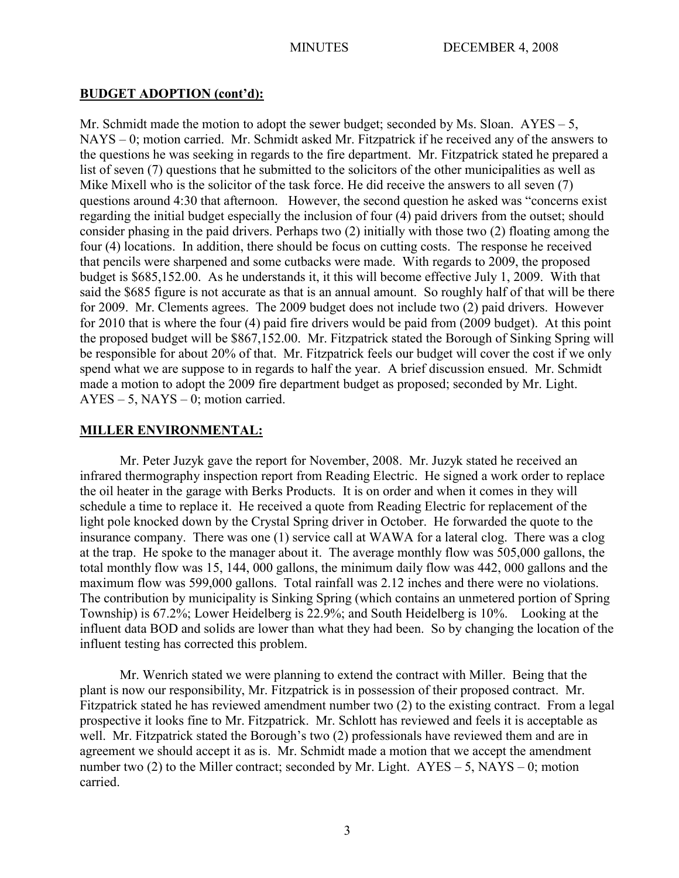# **BUDGET ADOPTION (cont'd):**

Mr. Schmidt made the motion to adopt the sewer budget; seconded by Ms. Sloan.  $AYES - 5$ , NAYS – 0; motion carried. Mr. Schmidt asked Mr. Fitzpatrick if he received any of the answers to the questions he was seeking in regards to the fire department. Mr. Fitzpatrick stated he prepared a list of seven (7) questions that he submitted to the solicitors of the other municipalities as well as Mike Mixell who is the solicitor of the task force. He did receive the answers to all seven (7) questions around 4:30 that afternoon. However, the second question he asked was "concerns exist regarding the initial budget especially the inclusion of four (4) paid drivers from the outset; should consider phasing in the paid drivers. Perhaps two (2) initially with those two (2) floating among the four (4) locations. In addition, there should be focus on cutting costs. The response he received that pencils were sharpened and some cutbacks were made. With regards to 2009, the proposed budget is \$685,152.00. As he understands it, it this will become effective July 1, 2009. With that said the \$685 figure is not accurate as that is an annual amount. So roughly half of that will be there for 2009. Mr. Clements agrees. The 2009 budget does not include two (2) paid drivers. However for 2010 that is where the four (4) paid fire drivers would be paid from (2009 budget). At this point the proposed budget will be \$867,152.00. Mr. Fitzpatrick stated the Borough of Sinking Spring will be responsible for about 20% of that. Mr. Fitzpatrick feels our budget will cover the cost if we only spend what we are suppose to in regards to half the year. A brief discussion ensued. Mr. Schmidt made a motion to adopt the 2009 fire department budget as proposed; seconded by Mr. Light.  $AYES - 5$ ,  $NAYS - 0$ ; motion carried.

## **MILLER ENVIRONMENTAL:**

Mr. Peter Juzyk gave the report for November, 2008. Mr. Juzyk stated he received an infrared thermography inspection report from Reading Electric. He signed a work order to replace the oil heater in the garage with Berks Products. It is on order and when it comes in they will schedule a time to replace it. He received a quote from Reading Electric for replacement of the light pole knocked down by the Crystal Spring driver in October. He forwarded the quote to the insurance company. There was one (1) service call at WAWA for a lateral clog. There was a clog at the trap. He spoke to the manager about it. The average monthly flow was 505,000 gallons, the total monthly flow was 15, 144, 000 gallons, the minimum daily flow was 442, 000 gallons and the maximum flow was 599,000 gallons. Total rainfall was 2.12 inches and there were no violations. The contribution by municipality is Sinking Spring (which contains an unmetered portion of Spring Township) is 67.2%; Lower Heidelberg is 22.9%; and South Heidelberg is 10%. Looking at the influent data BOD and solids are lower than what they had been. So by changing the location of the influent testing has corrected this problem.

Mr. Wenrich stated we were planning to extend the contract with Miller. Being that the plant is now our responsibility, Mr. Fitzpatrick is in possession of their proposed contract. Mr. Fitzpatrick stated he has reviewed amendment number two (2) to the existing contract. From a legal prospective it looks fine to Mr. Fitzpatrick. Mr. Schlott has reviewed and feels it is acceptable as well. Mr. Fitzpatrick stated the Borough's two (2) professionals have reviewed them and are in agreement we should accept it as is. Mr. Schmidt made a motion that we accept the amendment number two (2) to the Miller contract; seconded by Mr. Light.  $AYES - 5$ ,  $NAYS - 0$ ; motion carried.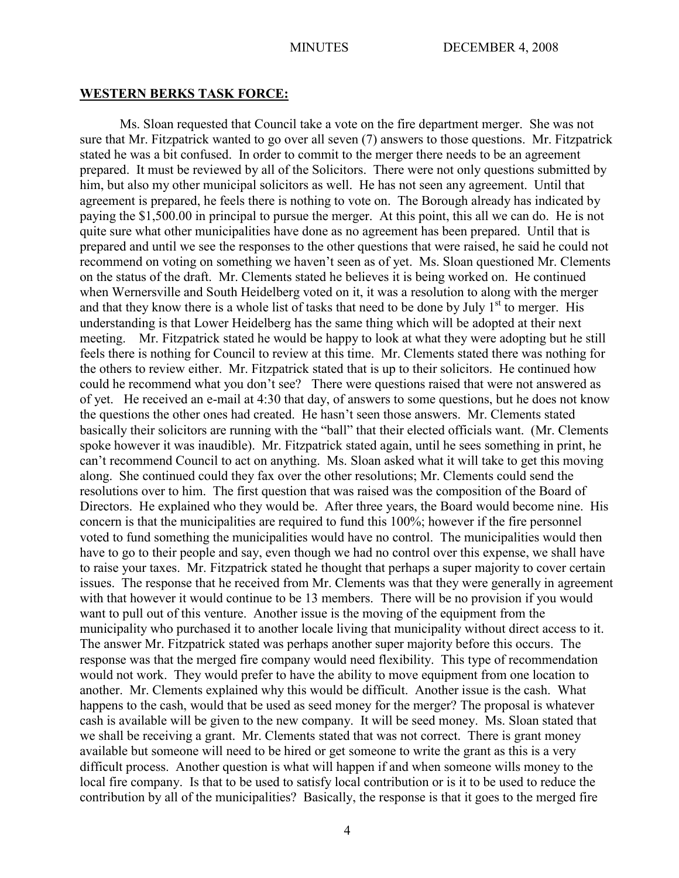#### **WESTERN BERKS TASK FORCE:**

Ms. Sloan requested that Council take a vote on the fire department merger. She was not sure that Mr. Fitzpatrick wanted to go over all seven (7) answers to those questions. Mr. Fitzpatrick stated he was a bit confused. In order to commit to the merger there needs to be an agreement prepared. It must be reviewed by all of the Solicitors. There were not only questions submitted by him, but also my other municipal solicitors as well. He has not seen any agreement. Until that agreement is prepared, he feels there is nothing to vote on. The Borough already has indicated by paying the \$1,500.00 in principal to pursue the merger. At this point, this all we can do. He is not quite sure what other municipalities have done as no agreement has been prepared. Until that is prepared and until we see the responses to the other questions that were raised, he said he could not recommend on voting on something we haven't seen as of yet. Ms. Sloan questioned Mr. Clements on the status of the draft. Mr. Clements stated he believes it is being worked on. He continued when Wernersville and South Heidelberg voted on it, it was a resolution to along with the merger and that they know there is a whole list of tasks that need to be done by July  $1<sup>st</sup>$  to merger. His understanding is that Lower Heidelberg has the same thing which will be adopted at their next meeting. Mr. Fitzpatrick stated he would be happy to look at what they were adopting but he still feels there is nothing for Council to review at this time. Mr. Clements stated there was nothing for the others to review either. Mr. Fitzpatrick stated that is up to their solicitors. He continued how could he recommend what you don't see? There were questions raised that were not answered as of yet. He received an e-mail at 4:30 that day, of answers to some questions, but he does not know the questions the other ones had created. He hasn't seen those answers. Mr. Clements stated basically their solicitors are running with the "ball" that their elected officials want. (Mr. Clements spoke however it was inaudible). Mr. Fitzpatrick stated again, until he sees something in print, he can't recommend Council to act on anything. Ms. Sloan asked what it will take to get this moving along. She continued could they fax over the other resolutions; Mr. Clements could send the resolutions over to him. The first question that was raised was the composition of the Board of Directors. He explained who they would be. After three years, the Board would become nine. His concern is that the municipalities are required to fund this 100%; however if the fire personnel voted to fund something the municipalities would have no control. The municipalities would then have to go to their people and say, even though we had no control over this expense, we shall have to raise your taxes. Mr. Fitzpatrick stated he thought that perhaps a super majority to cover certain issues. The response that he received from Mr. Clements was that they were generally in agreement with that however it would continue to be 13 members. There will be no provision if you would want to pull out of this venture. Another issue is the moving of the equipment from the municipality who purchased it to another locale living that municipality without direct access to it. The answer Mr. Fitzpatrick stated was perhaps another super majority before this occurs. The response was that the merged fire company would need flexibility. This type of recommendation would not work. They would prefer to have the ability to move equipment from one location to another. Mr. Clements explained why this would be difficult. Another issue is the cash. What happens to the cash, would that be used as seed money for the merger? The proposal is whatever cash is available will be given to the new company. It will be seed money. Ms. Sloan stated that we shall be receiving a grant. Mr. Clements stated that was not correct. There is grant money available but someone will need to be hired or get someone to write the grant as this is a very difficult process. Another question is what will happen if and when someone wills money to the local fire company. Is that to be used to satisfy local contribution or is it to be used to reduce the contribution by all of the municipalities? Basically, the response is that it goes to the merged fire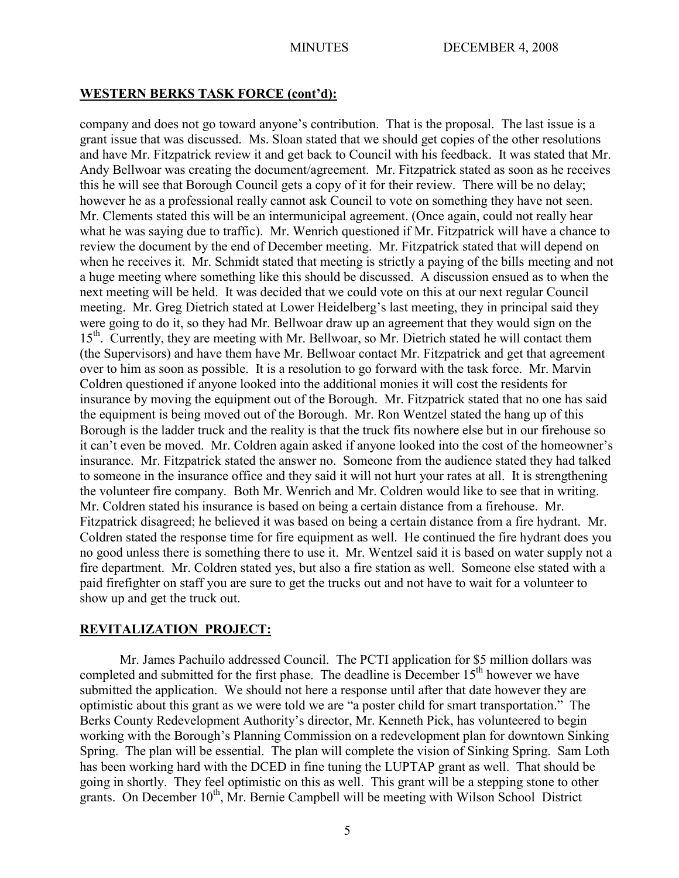## **WESTERN BERKS TASK FORCE (cont'd):**

company and does not go toward anyone's contribution. That is the proposal. The last issue is a grant issue that was discussed. Ms. Sloan stated that we should get copies of the other resolutions and have Mr. Fitzpatrick review it and get back to Council with his feedback. It was stated that Mr. Andy Bellwoar was creating the document/agreement. Mr. Fitzpatrick stated as soon as he receives this he will see that Borough Council gets a copy of it for their review. There will be no delay; however he as a professional really cannot ask Council to vote on something they have not seen. Mr. Clements stated this will be an intermunicipal agreement. (Once again, could not really hear what he was saying due to traffic). Mr. Wenrich questioned if Mr. Fitzpatrick will have a chance to review the document by the end of December meeting. Mr. Fitzpatrick stated that will depend on when he receives it. Mr. Schmidt stated that meeting is strictly a paying of the bills meeting and not a huge meeting where something like this should be discussed. A discussion ensued as to when the next meeting will be held. It was decided that we could vote on this at our next regular Council meeting. Mr. Greg Dietrich stated at Lower Heidelberg's last meeting, they in principal said they were going to do it, so they had Mr. Bellwoar draw up an agreement that they would sign on the 15<sup>th</sup>. Currently, they are meeting with Mr. Bellwoar, so Mr. Dietrich stated he will contact them (the Supervisors) and have them have Mr. Bellwoar contact Mr. Fitzpatrick and get that agreement over to him as soon as possible. It is a resolution to go forward with the task force. Mr. Marvin Coldren questioned if anyone looked into the additional monies it will cost the residents for insurance by moving the equipment out of the Borough. Mr. Fitzpatrick stated that no one has said the equipment is being moved out of the Borough. Mr. Ron Wentzel stated the hang up of this Borough is the ladder truck and the reality is that the truck fits nowhere else but in our firehouse so it can't even be moved. Mr. Coldren again asked if anyone looked into the cost of the homeowner's insurance. Mr. Fitzpatrick stated the answer no. Someone from the audience stated they had talked to someone in the insurance office and they said it will not hurt your rates at all. It is strengthening the volunteer fire company. Both Mr. Wenrich and Mr. Coldren would like to see that in writing. Mr. Coldren stated his insurance is based on being a certain distance from a firehouse. Mr. Fitzpatrick disagreed; he believed it was based on being a certain distance from a fire hydrant. Mr. Coldren stated the response time for fire equipment as well. He continued the fire hydrant does you no good unless there is something there to use it. Mr. Wentzel said it is based on water supply not a fire department. Mr. Coldren stated yes, but also a fire station as well. Someone else stated with a paid firefighter on staff you are sure to get the trucks out and not have to wait for a volunteer to show up and get the truck out.

## **REVITALIZATION PROJECT:**

Mr. James Pachuilo addressed Council. The PCTI application for \$5 million dollars was completed and submitted for the first phase. The deadline is December 15<sup>th</sup> however we have submitted the application. We should not here a response until after that date however they are optimistic about this grant as we were told we are "a poster child for smart transportation." The Berks County Redevelopment Authority's director, Mr. Kenneth Pick, has volunteered to begin working with the Borough's Planning Commission on a redevelopment plan for downtown Sinking Spring. The plan will be essential. The plan will complete the vision of Sinking Spring. Sam Loth has been working hard with the DCED in fine tuning the LUPTAP grant as well. That should be going in shortly. They feel optimistic on this as well. This grant will be a stepping stone to other grants. On December 10<sup>th</sup>, Mr. Bernie Campbell will be meeting with Wilson School District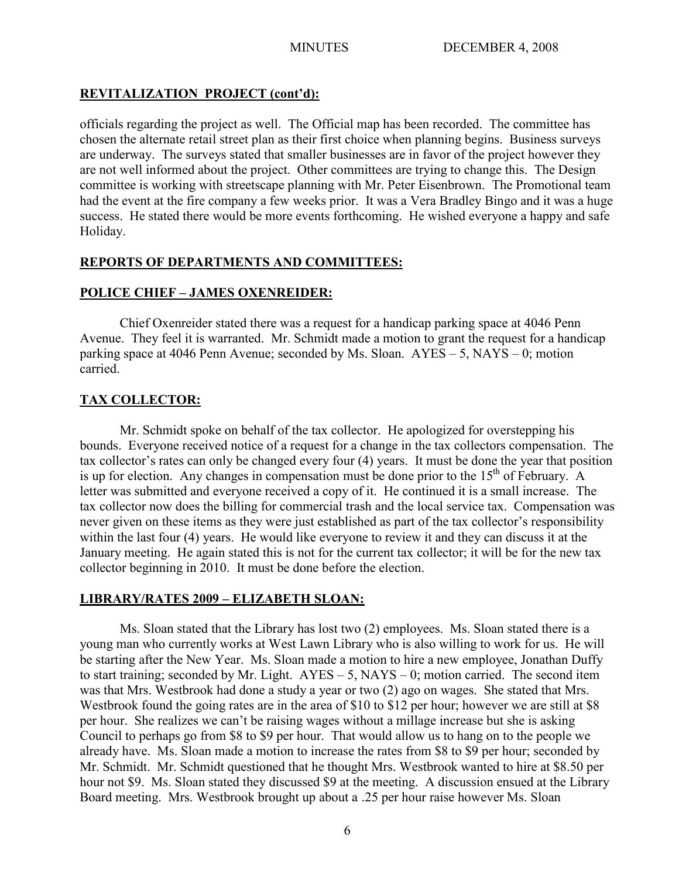# **REVITALIZATION PROJECT (cont'd):**

officials regarding the project as well. The Official map has been recorded. The committee has chosen the alternate retail street plan as their first choice when planning begins. Business surveys are underway. The surveys stated that smaller businesses are in favor of the project however they are not well informed about the project. Other committees are trying to change this. The Design committee is working with streetscape planning with Mr. Peter Eisenbrown. The Promotional team had the event at the fire company a few weeks prior. It was a Vera Bradley Bingo and it was a huge success. He stated there would be more events forthcoming. He wished everyone a happy and safe Holiday.

# **REPORTS OF DEPARTMENTS AND COMMITTEES:**

# **POLICE CHIEF – JAMES OXENREIDER:**

Chief Oxenreider stated there was a request for a handicap parking space at 4046 Penn Avenue. They feel it is warranted. Mr. Schmidt made a motion to grant the request for a handicap parking space at 4046 Penn Avenue; seconded by Ms. Sloan. AYES – 5, NAYS – 0; motion carried.

# **TAX COLLECTOR:**

Mr. Schmidt spoke on behalf of the tax collector. He apologized for overstepping his bounds. Everyone received notice of a request for a change in the tax collectors compensation. The tax collector's rates can only be changed every four (4) years. It must be done the year that position is up for election. Any changes in compensation must be done prior to the  $15<sup>th</sup>$  of February. A letter was submitted and everyone received a copy of it. He continued it is a small increase. The tax collector now does the billing for commercial trash and the local service tax. Compensation was never given on these items as they were just established as part of the tax collector's responsibility within the last four (4) years. He would like everyone to review it and they can discuss it at the January meeting. He again stated this is not for the current tax collector; it will be for the new tax collector beginning in 2010. It must be done before the election.

# **LIBRARY/RATES 2009 – ELIZABETH SLOAN:**

Ms. Sloan stated that the Library has lost two (2) employees. Ms. Sloan stated there is a young man who currently works at West Lawn Library who is also willing to work for us. He will be starting after the New Year. Ms. Sloan made a motion to hire a new employee, Jonathan Duffy to start training; seconded by Mr. Light.  $AYES - 5$ ,  $NAYS - 0$ ; motion carried. The second item was that Mrs. Westbrook had done a study a year or two (2) ago on wages. She stated that Mrs. Westbrook found the going rates are in the area of \$10 to \$12 per hour; however we are still at \$8 per hour. She realizes we can't be raising wages without a millage increase but she is asking Council to perhaps go from \$8 to \$9 per hour. That would allow us to hang on to the people we already have. Ms. Sloan made a motion to increase the rates from \$8 to \$9 per hour; seconded by Mr. Schmidt. Mr. Schmidt questioned that he thought Mrs. Westbrook wanted to hire at \$8.50 per hour not \$9. Ms. Sloan stated they discussed \$9 at the meeting. A discussion ensued at the Library Board meeting. Mrs. Westbrook brought up about a .25 per hour raise however Ms. Sloan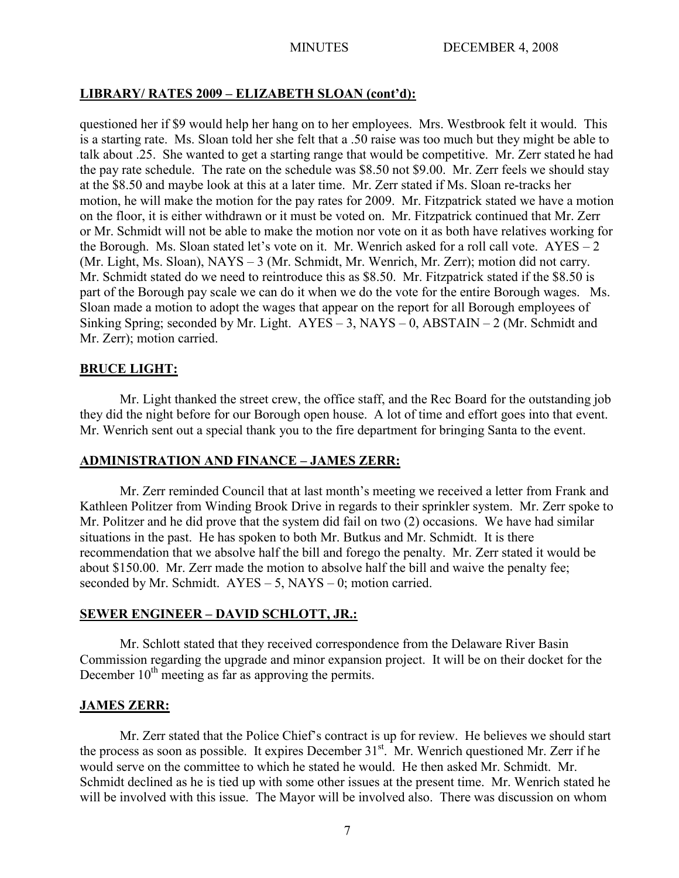# **LIBRARY/ RATES 2009 – ELIZABETH SLOAN (cont'd):**

questioned her if \$9 would help her hang on to her employees. Mrs. Westbrook felt it would. This is a starting rate. Ms. Sloan told her she felt that a .50 raise was too much but they might be able to talk about .25. She wanted to get a starting range that would be competitive. Mr. Zerr stated he had the pay rate schedule. The rate on the schedule was \$8.50 not \$9.00. Mr. Zerr feels we should stay at the \$8.50 and maybe look at this at a later time. Mr. Zerr stated if Ms. Sloan re-tracks her motion, he will make the motion for the pay rates for 2009. Mr. Fitzpatrick stated we have a motion on the floor, it is either withdrawn or it must be voted on. Mr. Fitzpatrick continued that Mr. Zerr or Mr. Schmidt will not be able to make the motion nor vote on it as both have relatives working for the Borough. Ms. Sloan stated let's vote on it. Mr. Wenrich asked for a roll call vote.  $AYES - 2$ (Mr. Light, Ms. Sloan), NAYS – 3 (Mr. Schmidt, Mr. Wenrich, Mr. Zerr); motion did not carry. Mr. Schmidt stated do we need to reintroduce this as \$8.50. Mr. Fitzpatrick stated if the \$8.50 is part of the Borough pay scale we can do it when we do the vote for the entire Borough wages. Ms. Sloan made a motion to adopt the wages that appear on the report for all Borough employees of Sinking Spring; seconded by Mr. Light.  $AYES - 3$ ,  $NAYS - 0$ ,  $ABSTAIN - 2$  (Mr. Schmidt and Mr. Zerr); motion carried.

# **BRUCE LIGHT:**

Mr. Light thanked the street crew, the office staff, and the Rec Board for the outstanding job they did the night before for our Borough open house. A lot of time and effort goes into that event. Mr. Wenrich sent out a special thank you to the fire department for bringing Santa to the event.

# **ADMINISTRATION AND FINANCE – JAMES ZERR:**

Mr. Zerr reminded Council that at last month's meeting we received a letter from Frank and Kathleen Politzer from Winding Brook Drive in regards to their sprinkler system. Mr. Zerr spoke to Mr. Politzer and he did prove that the system did fail on two (2) occasions. We have had similar situations in the past. He has spoken to both Mr. Butkus and Mr. Schmidt. It is there recommendation that we absolve half the bill and forego the penalty. Mr. Zerr stated it would be about \$150.00. Mr. Zerr made the motion to absolve half the bill and waive the penalty fee; seconded by Mr. Schmidt.  $AYES - 5$ ,  $NAYS - 0$ ; motion carried.

# **SEWER ENGINEER – DAVID SCHLOTT, JR.:**

Mr. Schlott stated that they received correspondence from the Delaware River Basin Commission regarding the upgrade and minor expansion project. It will be on their docket for the December 10<sup>th</sup> meeting as far as approving the permits.

# **JAMES ZERR:**

Mr. Zerr stated that the Police Chief's contract is up for review. He believes we should start the process as soon as possible. It expires December  $31<sup>st</sup>$ . Mr. Wenrich questioned Mr. Zerr if he would serve on the committee to which he stated he would. He then asked Mr. Schmidt. Mr. Schmidt declined as he is tied up with some other issues at the present time. Mr. Wenrich stated he will be involved with this issue. The Mayor will be involved also. There was discussion on whom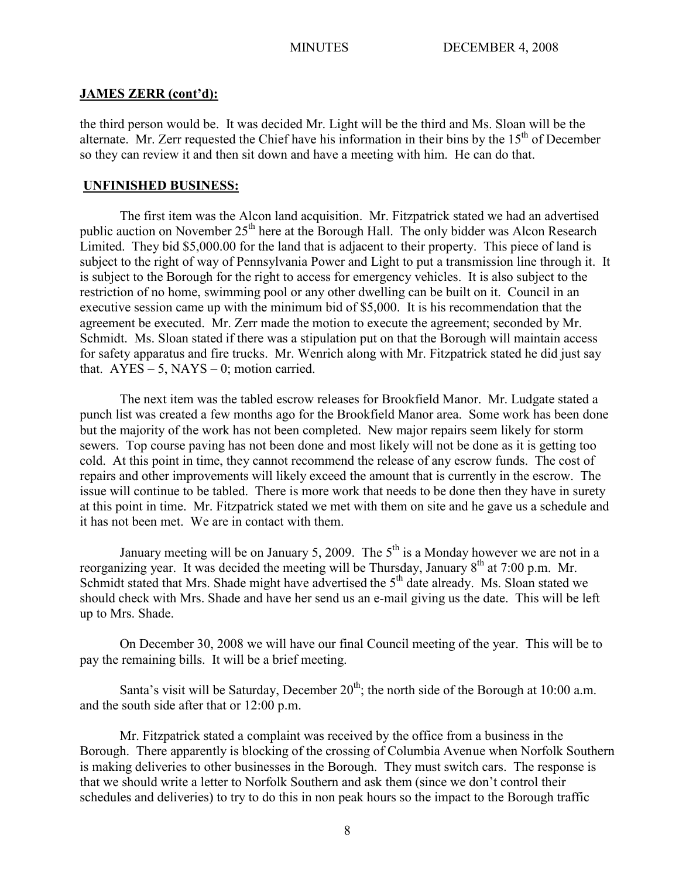### **JAMES ZERR (cont'd):**

the third person would be. It was decided Mr. Light will be the third and Ms. Sloan will be the alternate. Mr. Zerr requested the Chief have his information in their bins by the  $15<sup>th</sup>$  of December so they can review it and then sit down and have a meeting with him. He can do that.

## **UNFINISHED BUSINESS:**

The first item was the Alcon land acquisition. Mr. Fitzpatrick stated we had an advertised public auction on November 25<sup>th</sup> here at the Borough Hall. The only bidder was Alcon Research Limited. They bid \$5,000.00 for the land that is adjacent to their property. This piece of land is subject to the right of way of Pennsylvania Power and Light to put a transmission line through it. It is subject to the Borough for the right to access for emergency vehicles. It is also subject to the restriction of no home, swimming pool or any other dwelling can be built on it. Council in an executive session came up with the minimum bid of \$5,000. It is his recommendation that the agreement be executed. Mr. Zerr made the motion to execute the agreement; seconded by Mr. Schmidt. Ms. Sloan stated if there was a stipulation put on that the Borough will maintain access for safety apparatus and fire trucks. Mr. Wenrich along with Mr. Fitzpatrick stated he did just say that.  $AYES - 5$ ,  $NAYS - 0$ ; motion carried.

The next item was the tabled escrow releases for Brookfield Manor. Mr. Ludgate stated a punch list was created a few months ago for the Brookfield Manor area. Some work has been done but the majority of the work has not been completed. New major repairs seem likely for storm sewers. Top course paving has not been done and most likely will not be done as it is getting too cold. At this point in time, they cannot recommend the release of any escrow funds. The cost of repairs and other improvements will likely exceed the amount that is currently in the escrow. The issue will continue to be tabled. There is more work that needs to be done then they have in surety at this point in time. Mr. Fitzpatrick stated we met with them on site and he gave us a schedule and it has not been met. We are in contact with them.

January meeting will be on January 5, 2009. The  $5<sup>th</sup>$  is a Monday however we are not in a reorganizing year. It was decided the meeting will be Thursday, January  $8<sup>th</sup>$  at 7:00 p.m. Mr. Schmidt stated that Mrs. Shade might have advertised the  $5<sup>th</sup>$  date already. Ms. Sloan stated we should check with Mrs. Shade and have her send us an e-mail giving us the date. This will be left up to Mrs. Shade.

On December 30, 2008 we will have our final Council meeting of the year. This will be to pay the remaining bills. It will be a brief meeting.

Santa's visit will be Saturday, December  $20<sup>th</sup>$ ; the north side of the Borough at 10:00 a.m. and the south side after that or 12:00 p.m.

Mr. Fitzpatrick stated a complaint was received by the office from a business in the Borough. There apparently is blocking of the crossing of Columbia Avenue when Norfolk Southern is making deliveries to other businesses in the Borough. They must switch cars. The response is that we should write a letter to Norfolk Southern and ask them (since we don't control their schedules and deliveries) to try to do this in non peak hours so the impact to the Borough traffic